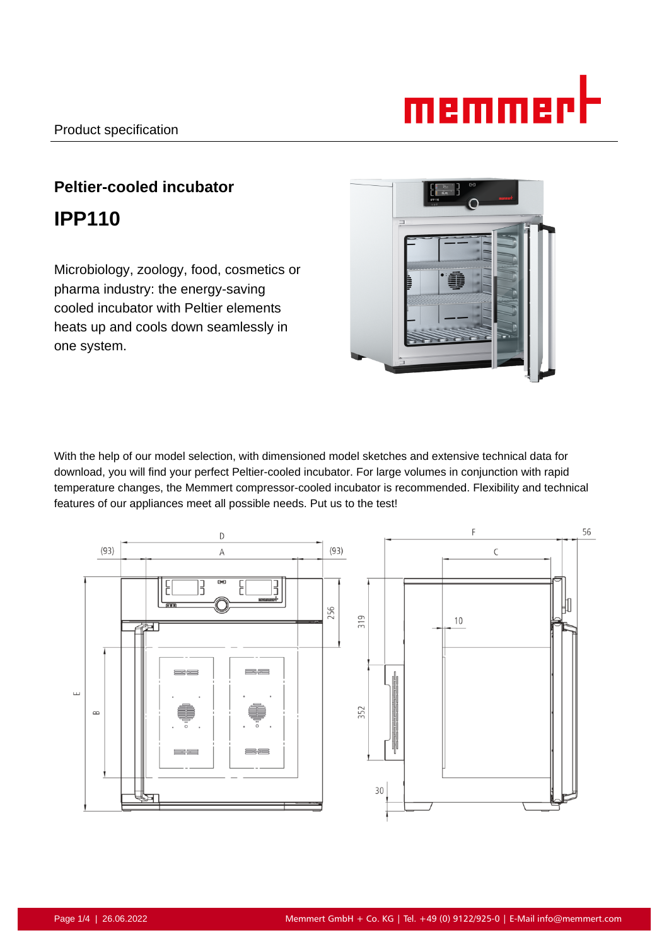# memmerl

## **Peltier-cooled incubator IPP110**

Microbiology, zoology, food, cosmetics or pharma industry: the energy-saving cooled incubator with Peltier elements heats up and cools down seamlessly in one system.



With the help of our model selection, with dimensioned model sketches and extensive technical data for download, you will find your perfect Peltier-cooled incubator. For large volumes in conjunction with rapid temperature changes, the Memmert compressor-cooled incubator is recommended. Flexibility and technical features of our appliances meet all possible needs. Put us to the test!

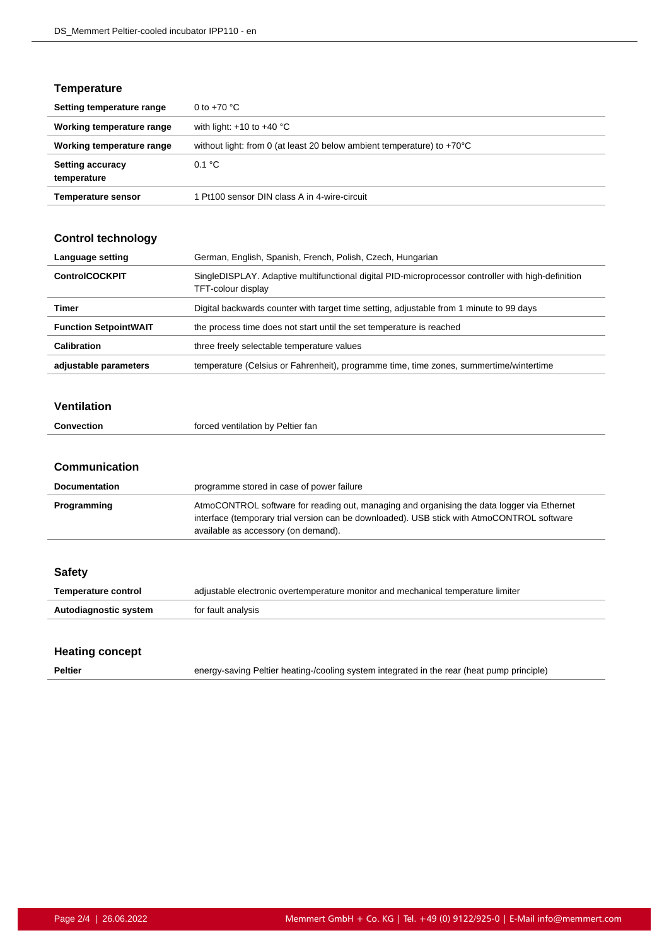#### **Temperature**

| Setting temperature range              | 0 to $+70$ °C                                                                    |
|----------------------------------------|----------------------------------------------------------------------------------|
| Working temperature range              | with light: $+10$ to $+40$ °C                                                    |
| Working temperature range              | without light: from 0 (at least 20 below ambient temperature) to $+70^{\circ}$ C |
| <b>Setting accuracy</b><br>temperature | 0.1 °C                                                                           |
| <b>Temperature sensor</b>              | 1 Pt100 sensor DIN class A in 4-wire-circuit                                     |

#### **Control technology**

| Language setting             | German, English, Spanish, French, Polish, Czech, Hungarian                                                               |
|------------------------------|--------------------------------------------------------------------------------------------------------------------------|
| <b>ControlCOCKPIT</b>        | SingleDISPLAY. Adaptive multifunctional digital PID-microprocessor controller with high-definition<br>TFT-colour display |
| Timer                        | Digital backwards counter with target time setting, adjustable from 1 minute to 99 days                                  |
| <b>Function SetpointWAIT</b> | the process time does not start until the set temperature is reached                                                     |
| Calibration                  | three freely selectable temperature values                                                                               |
| adjustable parameters        | temperature (Celsius or Fahrenheit), programme time, time zones, summertime/wintertime                                   |

#### **Ventilation**

| Convection | forced ventilation by Peltier fan |
|------------|-----------------------------------|

#### **Communication**

| <b>Documentation</b> | programme stored in case of power failure                                                                                                                                                                                       |
|----------------------|---------------------------------------------------------------------------------------------------------------------------------------------------------------------------------------------------------------------------------|
| Programming          | AtmoCONTROL software for reading out, managing and organising the data logger via Ethernet<br>interface (temporary trial version can be downloaded). USB stick with AtmoCONTROL software<br>available as accessory (on demand). |

| <b>Safety</b>         |                                                                                  |
|-----------------------|----------------------------------------------------------------------------------|
| Temperature control   | adjustable electronic overtemperature monitor and mechanical temperature limiter |
| Autodiagnostic system | for fault analysis                                                               |
|                       |                                                                                  |

#### **Heating concept**

**Peltier** energy-saving Peltier heating-/cooling system integrated in the rear (heat pump principle)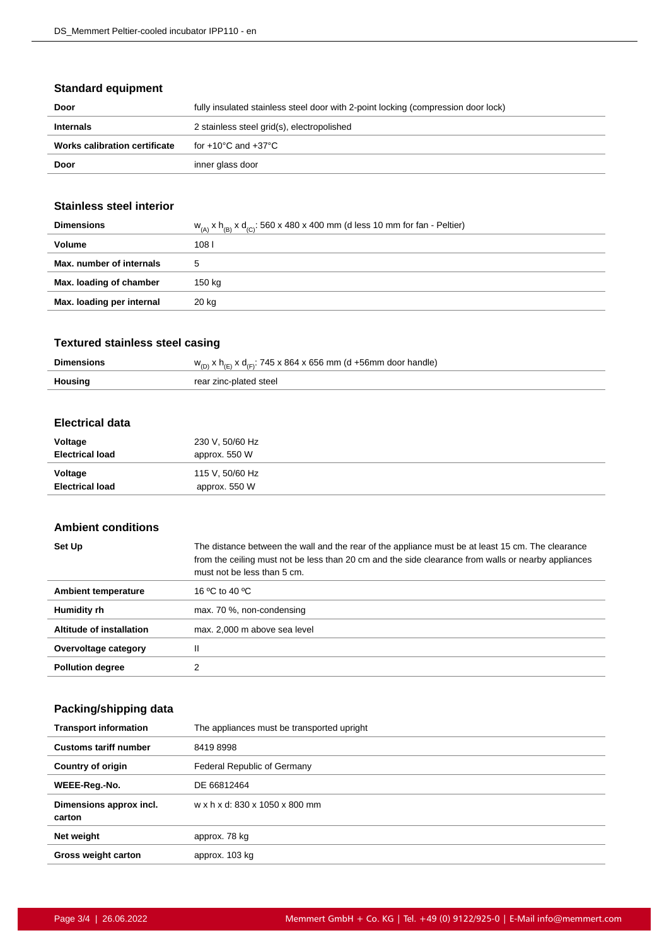#### **Standard equipment**

| Door                          | fully insulated stainless steel door with 2-point locking (compression door lock) |
|-------------------------------|-----------------------------------------------------------------------------------|
| <b>Internals</b>              | 2 stainless steel grid(s), electropolished                                        |
| Works calibration certificate | for +10°C and +37°C                                                               |
| Door                          | inner glass door                                                                  |

#### **Stainless steel interior**

| <b>Dimensions</b>         | $w_{(A)}$ x h <sub>(B)</sub> x d <sub>(C)</sub> : 560 x 480 x 400 mm (d less 10 mm for fan - Peltier) |
|---------------------------|-------------------------------------------------------------------------------------------------------|
| Volume                    | 108 l                                                                                                 |
| Max. number of internals  | 5                                                                                                     |
| Max. loading of chamber   | 150 kg                                                                                                |
| Max. loading per internal | 20 kg                                                                                                 |
|                           |                                                                                                       |

#### **Textured stainless steel casing**

| <b>Dimensions</b> | $w_{(D)}$ x h <sub>(F)</sub> x d <sub>(F)</sub> : 745 x 864 x 656 mm (d +56mm door handle) |
|-------------------|--------------------------------------------------------------------------------------------|
| Housing           | rear zinc-plated steel                                                                     |

#### **Electrical data**

| Voltage                | 230 V, 50/60 Hz |
|------------------------|-----------------|
| <b>Electrical load</b> | approx. 550 W   |
| Voltage                | 115 V, 50/60 Hz |
| <b>Electrical load</b> | approx. 550 W   |

#### **Ambient conditions**

| Set Up                     | The distance between the wall and the rear of the appliance must be at least 15 cm. The clearance<br>from the ceiling must not be less than 20 cm and the side clearance from walls or nearby appliances<br>must not be less than 5 cm. |
|----------------------------|-----------------------------------------------------------------------------------------------------------------------------------------------------------------------------------------------------------------------------------------|
| <b>Ambient temperature</b> | 16 °C to 40 °C                                                                                                                                                                                                                          |
| Humidity rh                | max. 70 %, non-condensing                                                                                                                                                                                                               |
| Altitude of installation   | max. 2,000 m above sea level                                                                                                                                                                                                            |
| Overvoltage category       | Ш                                                                                                                                                                                                                                       |
| <b>Pollution degree</b>    | 2                                                                                                                                                                                                                                       |

### **Packing/shipping data**

| <b>Transport information</b>      | The appliances must be transported upright |
|-----------------------------------|--------------------------------------------|
| <b>Customs tariff number</b>      | 84198998                                   |
| <b>Country of origin</b>          | Federal Republic of Germany                |
| WEEE-Reg.-No.                     | DE 66812464                                |
| Dimensions approx incl.<br>carton | w x h x d: 830 x 1050 x 800 mm             |
| Net weight                        | approx. 78 kg                              |
| <b>Gross weight carton</b>        | approx. 103 kg                             |